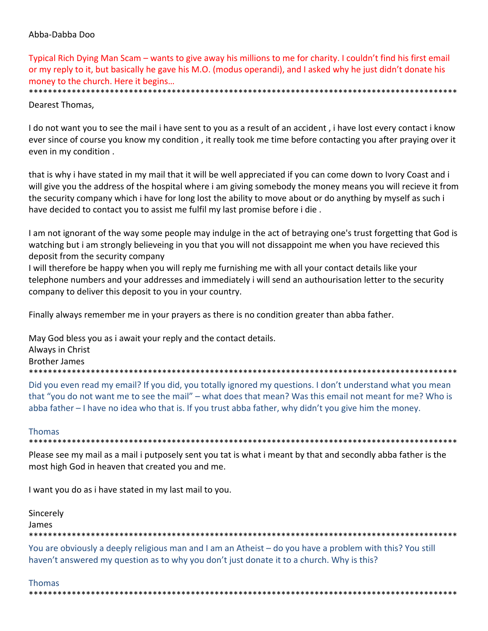# Abba‐Dabba Doo

Typical Rich Dying Man Scam – wants to give away his millions to me for charity. I couldn't find his first email or my reply to it, but basically he gave his M.O. (modus operandi), and I asked why he just didn't donate his money to the church. Here it begins… \*\*\*\*\*\*\*\*\*\*\*\*\*\*\*\*\*\*\*\*\*\*\*\*\*\*\*\*\*\*\*\*\*\*\*\*\*\*\*\*\*\*\*\*\*\*\*\*\*\*\*\*\*\*\*\*\*\*\*\*\*\*\*\*\*\*\*\*\*\*\*\*\*\*\*\*\*\*\*\*\*\*\*\*\*\*\*\*\*\*

Dearest Thomas,

I do not want you to see the mail i have sent to you as a result of an accident , i have lost every contact i know ever since of course you know my condition , it really took me time before contacting you after praying over it even in my condition .

that is why i have stated in my mail that it will be well appreciated if you can come down to Ivory Coast and i will give you the address of the hospital where i am giving somebody the money means you will recieve it from the security company which i have for long lost the ability to move about or do anything by myself as such i have decided to contact you to assist me fulfil my last promise before i die .

I am not ignorant of the way some people may indulge in the act of betraying one's trust forgetting that God is watching but i am strongly believeing in you that you will not dissappoint me when you have recieved this deposit from the security company

I will therefore be happy when you will reply me furnishing me with all your contact details like your telephone numbers and your addresses and immediately i will send an authourisation letter to the security company to deliver this deposit to you in your country.

Finally always remember me in your prayers as there is no condition greater than abba father.

May God bless you as i await your reply and the contact details.

Always in Christ

Brother James

\*\*\*\*\*\*\*\*\*\*\*\*\*\*\*\*\*\*\*\*\*\*\*\*\*\*\*\*\*\*\*\*\*\*\*\*\*\*\*\*\*\*\*\*\*\*\*\*\*\*\*\*\*\*\*\*\*\*\*\*\*\*\*\*\*\*\*\*\*\*\*\*\*\*\*\*\*\*\*\*\*\*\*\*\*\*\*\*\*\*

Did you even read my email? If you did, you totally ignored my questions. I don't understand what you mean that "you do not want me to see the mail" – what does that mean? Was this email not meant for me? Who is abba father – I have no idea who that is. If you trust abba father, why didn't you give him the money.

#### Thomas

\*\*\*\*\*\*\*\*\*\*\*\*\*\*\*\*\*\*\*\*\*\*\*\*\*\*\*\*\*\*\*\*\*\*\*\*\*\*\*\*\*\*\*\*\*\*\*\*\*\*\*\*\*\*\*\*\*\*\*\*\*\*\*\*\*\*\*\*\*\*\*\*\*\*\*\*\*\*\*\*\*\*\*\*\*\*\*\*\*\*

Please see my mail as a mail i putposely sent you tat is what i meant by that and secondly abba father is the most high God in heaven that created you and me.

I want you do as i have stated in my last mail to you.

Sincerely James \*\*\*\*\*\*\*\*\*\*\*\*\*\*\*\*\*\*\*\*\*\*\*\*\*\*\*\*\*\*\*\*\*\*\*\*\*\*\*\*\*\*\*\*\*\*\*\*\*\*\*\*\*\*\*\*\*\*\*\*\*\*\*\*\*\*\*\*\*\*\*\*\*\*\*\*\*\*\*\*\*\*\*\*\*\*\*\*\*\*

You are obviously a deeply religious man and I am an Atheist – do you have a problem with this? You still haven't answered my question as to why you don't just donate it to a church. Why is this?

# Thomas

\*\*\*\*\*\*\*\*\*\*\*\*\*\*\*\*\*\*\*\*\*\*\*\*\*\*\*\*\*\*\*\*\*\*\*\*\*\*\*\*\*\*\*\*\*\*\*\*\*\*\*\*\*\*\*\*\*\*\*\*\*\*\*\*\*\*\*\*\*\*\*\*\*\*\*\*\*\*\*\*\*\*\*\*\*\*\*\*\*\*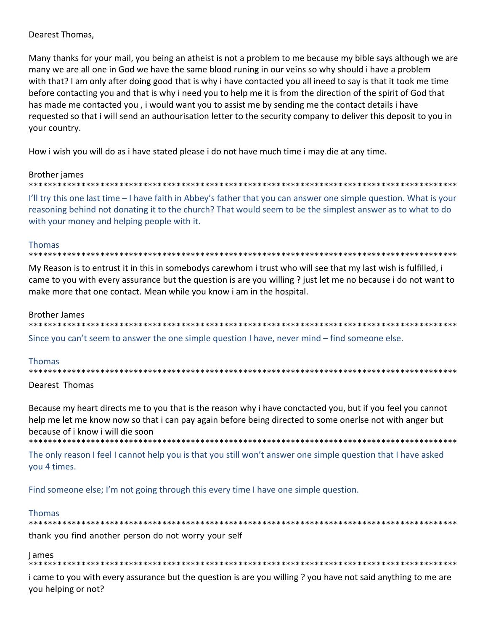# Dearest Thomas,

Many thanks for your mail, you being an atheist is not a problem to me because my bible says although we are many we are all one in God we have the same blood runing in our veins so why should i have a problem with that? I am only after doing good that is why i have contacted you all ineed to say is that it took me time before contacting you and that is why i need you to help me it is from the direction of the spirit of God that has made me contacted you , i would want you to assist me by sending me the contact details i have requested so that i will send an authourisation letter to the security company to deliver this deposit to you in your country.

How i wish you will do as i have stated please i do not have much time i may die at any time.

# Brother james

\*\*\*\*\*\*\*\*\*\*\*\*\*\*\*\*\*\*\*\*\*\*\*\*\*\*\*\*\*\*\*\*\*\*\*\*\*\*\*\*\*\*\*\*\*\*\*\*\*\*\*\*\*\*\*\*\*\*\*\*\*\*\*\*\*\*\*\*\*\*\*\*\*\*\*\*\*\*\*\*\*\*\*\*\*\*\*\*\*\*

I'll try this one last time – I have faith in Abbey's father that you can answer one simple question. What is your reasoning behind not donating it to the church? That would seem to be the simplest answer as to what to do with your money and helping people with it.

#### Thomas

\*\*\*\*\*\*\*\*\*\*\*\*\*\*\*\*\*\*\*\*\*\*\*\*\*\*\*\*\*\*\*\*\*\*\*\*\*\*\*\*\*\*\*\*\*\*\*\*\*\*\*\*\*\*\*\*\*\*\*\*\*\*\*\*\*\*\*\*\*\*\*\*\*\*\*\*\*\*\*\*\*\*\*\*\*\*\*\*\*\*

My Reason is to entrust it in this in somebodys carewhom i trust who will see that my last wish is fulfilled, i came to you with every assurance but the question is are you willing ? just let me no because i do not want to make more that one contact. Mean while you know i am in the hospital.

#### Brother James

\*\*\*\*\*\*\*\*\*\*\*\*\*\*\*\*\*\*\*\*\*\*\*\*\*\*\*\*\*\*\*\*\*\*\*\*\*\*\*\*\*\*\*\*\*\*\*\*\*\*\*\*\*\*\*\*\*\*\*\*\*\*\*\*\*\*\*\*\*\*\*\*\*\*\*\*\*\*\*\*\*\*\*\*\*\*\*\*\*\* Since you can't seem to answer the one simple question I have, never mind – find someone else.

# Thomas

\*\*\*\*\*\*\*\*\*\*\*\*\*\*\*\*\*\*\*\*\*\*\*\*\*\*\*\*\*\*\*\*\*\*\*\*\*\*\*\*\*\*\*\*\*\*\*\*\*\*\*\*\*\*\*\*\*\*\*\*\*\*\*\*\*\*\*\*\*\*\*\*\*\*\*\*\*\*\*\*\*\*\*\*\*\*\*\*\*\*

# Dearest Thomas

Because my heart directs me to you that is the reason why i have conctacted you, but if you feel you cannot help me let me know now so that i can pay again before being directed to some onerlse not with anger but because of i know i will die soon

\*\*\*\*\*\*\*\*\*\*\*\*\*\*\*\*\*\*\*\*\*\*\*\*\*\*\*\*\*\*\*\*\*\*\*\*\*\*\*\*\*\*\*\*\*\*\*\*\*\*\*\*\*\*\*\*\*\*\*\*\*\*\*\*\*\*\*\*\*\*\*\*\*\*\*\*\*\*\*\*\*\*\*\*\*\*\*\*\*\*

The only reason I feel I cannot help you is that you still won't answer one simple question that I have asked you 4 times.

Find someone else; I'm not going through this every time I have one simple question.

# Thomas

\*\*\*\*\*\*\*\*\*\*\*\*\*\*\*\*\*\*\*\*\*\*\*\*\*\*\*\*\*\*\*\*\*\*\*\*\*\*\*\*\*\*\*\*\*\*\*\*\*\*\*\*\*\*\*\*\*\*\*\*\*\*\*\*\*\*\*\*\*\*\*\*\*\*\*\*\*\*\*\*\*\*\*\*\*\*\*\*\*\* thank you find another person do not worry your self

James

\*\*\*\*\*\*\*\*\*\*\*\*\*\*\*\*\*\*\*\*\*\*\*\*\*\*\*\*\*\*\*\*\*\*\*\*\*\*\*\*\*\*\*\*\*\*\*\*\*\*\*\*\*\*\*\*\*\*\*\*\*\*\*\*\*\*\*\*\*\*\*\*\*\*\*\*\*\*\*\*\*\*\*\*\*\*\*\*\*\*

i came to you with every assurance but the question is are you willing ? you have not said anything to me are you helping or not?